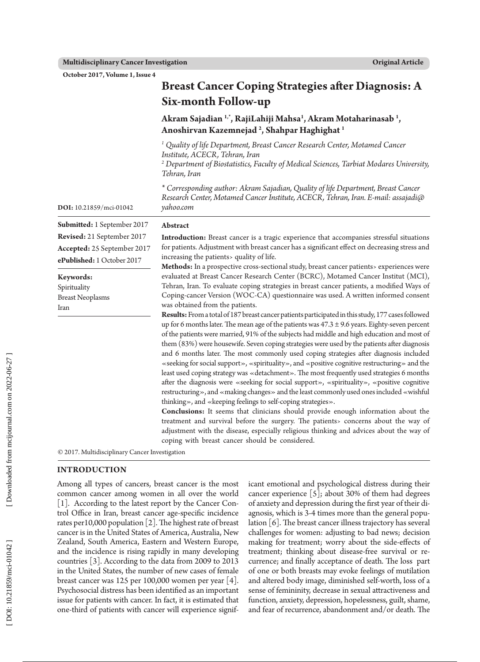**October 2017, Volume 1, Issue 4**

|                                                                                                                                                         | $\sigma$<br>O                                                                                                                                                                                                                                                                                                                                                                                                                                                                                                                                                                                                                                                                                                                                                                                                                                                                                                                                                                                                               |  |  |  |
|---------------------------------------------------------------------------------------------------------------------------------------------------------|-----------------------------------------------------------------------------------------------------------------------------------------------------------------------------------------------------------------------------------------------------------------------------------------------------------------------------------------------------------------------------------------------------------------------------------------------------------------------------------------------------------------------------------------------------------------------------------------------------------------------------------------------------------------------------------------------------------------------------------------------------------------------------------------------------------------------------------------------------------------------------------------------------------------------------------------------------------------------------------------------------------------------------|--|--|--|
|                                                                                                                                                         | Six-month Follow-up                                                                                                                                                                                                                                                                                                                                                                                                                                                                                                                                                                                                                                                                                                                                                                                                                                                                                                                                                                                                         |  |  |  |
|                                                                                                                                                         | Akram Sajadian <sup>1,*</sup> , RajiLahiji Mahsa <sup>1</sup> , Akram Motaharinasab <sup>1</sup> ,<br>Anoshirvan Kazemnejad <sup>2</sup> , Shahpar Haghighat <sup>1</sup>                                                                                                                                                                                                                                                                                                                                                                                                                                                                                                                                                                                                                                                                                                                                                                                                                                                   |  |  |  |
|                                                                                                                                                         | <sup>1</sup> Quality of life Department, Breast Cancer Research Center, Motamed Cancer<br>Institute, ACECR, Tehran, Iran<br><sup>2</sup> Department of Biostatistics, Faculty of Medical Sciences, Tarbiat Modares University,<br>Tehran, Iran                                                                                                                                                                                                                                                                                                                                                                                                                                                                                                                                                                                                                                                                                                                                                                              |  |  |  |
| DOI: 10.21859/mci-01042                                                                                                                                 | * Corresponding author: Akram Sajadian, Quality of life Department, Breast Cancer<br>Research Center, Motamed Cancer Institute, ACECR, Tehran, Iran. E-mail: assajadi@<br>yahoo.com                                                                                                                                                                                                                                                                                                                                                                                                                                                                                                                                                                                                                                                                                                                                                                                                                                         |  |  |  |
| Submitted: 1 September 2017                                                                                                                             | Abstract                                                                                                                                                                                                                                                                                                                                                                                                                                                                                                                                                                                                                                                                                                                                                                                                                                                                                                                                                                                                                    |  |  |  |
| Revised: 21 September 2017<br>Accepted: 25 September 2017<br>ePublished: 1 October 2017<br>Keywords:<br>Spirituality<br><b>Breast Neoplasms</b><br>Iran | Introduction: Breast cancer is a tragic experience that accompanies stressful situations<br>for patients. Adjustment with breast cancer has a significant effect on decreasing stress and<br>increasing the patients> quality of life.<br>Methods: In a prospective cross-sectional study, breast cancer patients> experiences were<br>evaluated at Breast Cancer Research Center (BCRC), Motamed Cancer Institut (MCI),<br>Tehran, Iran. To evaluate coping strategies in breast cancer patients, a modified Ways of<br>Coping-cancer Version (WOC-CA) questionnaire was used. A written informed consent<br>was obtained from the patients.<br>Results: From a total of 187 breast cancer patients participated in this study, 177 cases followed                                                                                                                                                                                                                                                                         |  |  |  |
|                                                                                                                                                         | up for 6 months later. The mean age of the patients was $47.3 \pm 9.6$ years. Eighty-seven percent<br>of the patients were married, 91% of the subjects had middle and high education and most of<br>them (83%) were housewife. Seven coping strategies were used by the patients after diagnosis<br>and 6 months later. The most commonly used coping strategies after diagnosis included<br>«seeking for social support», «spirituality», and «positive cognitive restructuring» and the<br>least used coping strategy was «detachment». The most frequently used strategies 6 months<br>after the diagnosis were «seeking for social support», «spirituality», «positive cognitive<br>restructuring», and «making changes» and the least commonly used ones included «wishful<br>thinking», and «keeping feelings to self-coping strategies».<br>Conclusions: It seems that clinicians should provide enough information about the<br>treatment and survival before the surgery. The patients> concerns about the way of |  |  |  |
|                                                                                                                                                         | adjustment with the disease, especially religious thinking and advices about the way of<br>coping with breast cancer should be considered.                                                                                                                                                                                                                                                                                                                                                                                                                                                                                                                                                                                                                                                                                                                                                                                                                                                                                  |  |  |  |
| © 2017. Multidisciplinary Cancer Investigation                                                                                                          |                                                                                                                                                                                                                                                                                                                                                                                                                                                                                                                                                                                                                                                                                                                                                                                                                                                                                                                                                                                                                             |  |  |  |

**Breast Cancer Coping Strategies after Diagnosis: A** 

**INTRODUCTION** Among all types of cancers, breast cancer is the most common cancer among women in all over the world [1]. According to the latest report by the Cancer Con trol Office in Iran, breast cancer age-specific incidence rates per10,000 population [2]. The highest rate of breast cancer is in the United States of America, Australia, New Zealand, South America, Eastern and Western Europe, and the incidence is rising rapidly in many developing countries [3]. According to the data from 2009 to 2013 in the United States, the number of new cases of female breast cancer was 125 per 100,000 women per year [4]. Psychosocial distress has been identified as an important issue for patients with cancer. In fact, it is estimated that one-third of patients with cancer will experience signif-

icant emotional and psychological distress during their cancer experience [5]; about 30% of them had degrees of anxiety and depression during the first year of their di agnosis, which is 3-4 times more than the general popu lation [6]. The breast cancer illness trajectory has several challenges for women: adjusting to bad news; decision making for treatment; worry about the side-effects of treatment; thinking about disease-free survival or re currence; and finally acceptance of death. The loss part of one or both breasts may evoke feelings of mutilation and altered body image, diminished self-worth, loss of a sense of femininity, decrease in sexual attractiveness and function, anxiety, depression, hopelessness, guilt, shame, and fear of recurrence, abandonment and/or death. The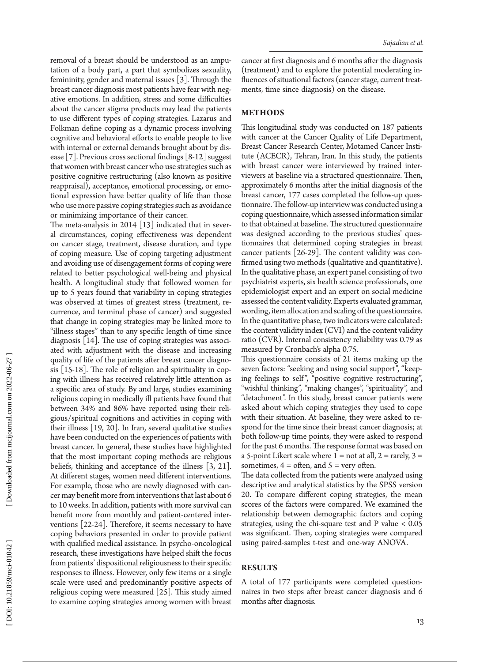removal of a breast should be understood as an ampu tation of a body part, a part that symbolizes sexuality, femininity, gender and maternal issues [3]. Through the breast cancer diagnosis most patients have fear with neg ative emotions. In addition, stress and some difficulties about the cancer stigma products may lead the patients to use different types of coping strategies. Lazarus and Folkman define coping as a dynamic process involving cognitive and behavioral efforts to enable people to live with internal or external demands brought about by dis ease [7]. Previous cross sectional findings [8-12] suggest that women with breast cancer who use strategies such as positive cognitive restructuring (also known as positive reappraisal), acceptance, emotional processing, or emo tional expression have better quality of life than those who use more passive coping strategies such as avoidance or minimizing importance of their cancer.

The meta-analysis in 2014  $\lfloor 13 \rfloor$  indicated that in several circumstances, coping effectiveness was dependent on cancer stage, treatment, disease duration, and type of coping measure. Use of coping targeting adjustment and avoiding use of disengagement forms of coping were related to better psychological well-being and physical health. A longitudinal study that followed women for up to 5 years found that variability in coping strategies was observed at times of greatest stress (treatment, re currence, and terminal phase of cancer) and suggested that change in coping strategies may be linked more to "illness stages" than to any specific length of time since diagnosis [14]. The use of coping strategies was associ ated with adjustment with the disease and increasing quality of life of the patients after breast cancer diagno sis [15-18]. The role of religion and spirituality in cop ing with illness has received relatively little attention as a specific area of study. By and large, studies examining religious coping in medically ill patients have found that between 34% and 86% have reported using their reli gious/spiritual cognitions and activities in coping with their illness [19, 20]. In Iran, several qualitative studies have been conducted on the experiences of patients with breast cancer. In general, these studies have highlighted that the most important coping methods are religious beliefs, thinking and acceptance of the illness [3, 21]. At different stages, women need different interventions. For example, those who are newly diagnosed with can cer may benefit more from interventions that last about 6 to 10 weeks. In addition, patients with more survival can benefit more from monthly and patient-centered inter ventions [22-24]. Therefore, it seems necessary to have coping behaviors presented in order to provide patient with qualified medical assistance. In psycho-oncological research, these investigations have helped shift the focus from patients' dispositional religiousness to their specific responses to illness. However, only few items or a single scale were used and predominantly positive aspects of religious coping were measured [25]. This study aimed to examine coping strategies among women with breast

cancer at first diagnosis and 6 months after the diagnosis (treatment) and to explore the potential moderating in fluences of situational factors (cancer stage, current treat ments, time since diagnosis) on the disease.

# **METHODS**

This longitudinal study was conducted on 187 patients with cancer at the Cancer Quality of Life Department, Breast Cancer Research Center, Motamed Cancer Insti tute (ACECR), Tehran, Iran. In this study, the patients with breast cancer were interviewed by trained inter viewers at baseline via a structured questionnaire. Then, approximately 6 months after the initial diagnosis of the breast cancer, 177 cases completed the follow-up ques tionnaire. The follow-up interview was conducted using a coping questionnaire, which assessed information similar to that obtained at baseline. The structured questionnaire was designed according to the previous studies' ques tionnaires that determined coping strategies in breast cancer patients [26-29]. The content validity was con firmed using two methods (qualitative and quantitative). In the qualitative phase, an expert panel consisting of two psychiatrist experts, six health science professionals, one epidemiologist expert and an expert on social medicine assessed the content validity. Experts evaluated grammar, wording, item allocation and scaling of the questionnaire. In the quantitative phase, two indicators were calculated: the content validity index (CVI) and the content validity ratio (CVR). Internal consistency reliability was 0.79 as measured by Cronbach's alpha 0.75.

This questionnaire consists of 21 items making up the seven factors: "seeking and using social support", "keep ing feelings to self", "positive cognitive restructuring", "wishful thinking", "making changes", "spirituality", and "detachment". In this study, breast cancer patients were asked about which coping strategies they used to cope with their situation. At baseline, they were asked to re spond for the time since their breast cancer diagnosis; at both follow-up time points, they were asked to respond for the past 6 months. The response format was based on a 5-point Likert scale where  $1 =$  not at all,  $2 =$  rarely,  $3 =$ sometimes,  $4 =$  often, and  $5 =$  very often.

The data collected from the patients were analyzed using descriptive and analytical statistics by the SPSS version 20. To compare different coping strategies, the mean scores of the factors were compared. We examined the relationship between demographic factors and coping strategies, using the chi-square test and P value < 0.05 was significant. Then, coping strategies were compared using paired-samples t-test and one-way ANOVA.

## **RESULTS**

A total of 177 participants were completed question naires in two steps after breast cancer diagnosis and 6 months after diagnosis.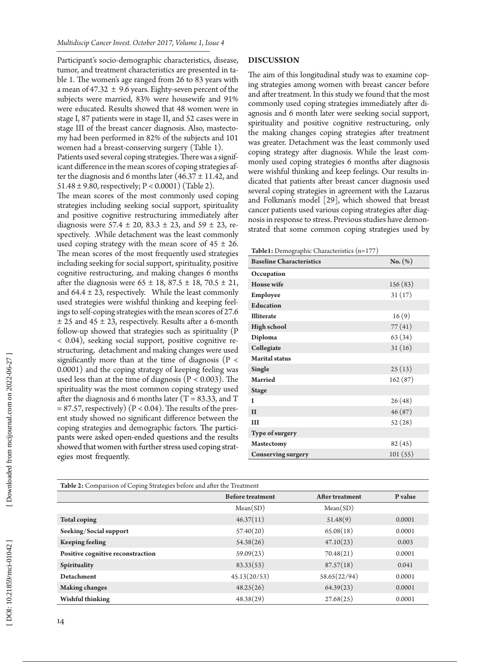Participant's socio-demographic characteristics, disease, tumor, and treatment characteristics are presented in ta ble 1. The women's age ranged from 26 to 83 years with a mean of 47.32  $\pm$  9.6 years. Eighty-seven percent of the subjects were married, 83% were housewife and 91% were educated. Results showed that 48 women were in stage I, 87 patients were in stage II, and 52 cases were in stage III of the breast cancer diagnosis. Also, mastecto my had been performed in 82% of the subjects and 101 women had a breast-conserving surgery (Table 1). Patients used several coping strategies. There was a significant difference in the mean scores of coping strategies after the diagnosis and 6 months later  $(46.37 \pm 11.42,$  and 51.48 ± 9.80, respectively; P < 0.0001) (Table 2).

The mean scores of the most commonly used coping strategies including seeking social support, spirituality and positive cognitive restructuring immediately after diagnosis were  $57.4 \pm 20, 83.3 \pm 23,$  and  $59 \pm 23,$  respectively. .While detachment was the least commonly used coping strategy with the mean score of  $45 \pm 26$ . The mean scores of the most frequently used strategies including seeking for social support, spirituality, positive cognitive restructuring, and making changes 6 months after the diagnosis were  $65 \pm 18$ ,  $87.5 \pm 18$ ,  $70.5 \pm 21$ , and  $64.4 \pm 23$ , respectively. While the least commonly used strategies were wishful thinking and keeping feel ings to self-coping strategies with the mean scores of 27.6 ± 25 and 45 ± 23, respectively. Results after a 6-month follow-up showed that strategies such as spirituality (P < 0.04), seeking social support, positive cognitive re structuring, detachment and making changes were used significantly more than at the time of diagnosis ( $P \lt$ 0.0001) and the coping strategy of keeping feeling was used less than at the time of diagnosis ( $P < 0.003$ ). The spirituality was the most common coping strategy used after the diagnosis and 6 months later (T = 83.33, and T  $= 87.57$ , respectively) (P < 0.04). The results of the present study showed no significant difference between the coping strategies and demographic factors. The partici pants were asked open-ended questions and the results showed that women with further stress used coping strat egies most frequently.

#### **DISCUSSION**

The aim of this longitudinal study was to examine cop ing strategies among women with breast cancer before and after treatment. In this study we found that the most commonly used coping strategies immediately after di agnosis and 6 month later were seeking social support, spirituality and positive cognitive restructuring, only the making changes coping strategies after treatment was greater. Detachment was the least commonly used coping strategy after diagnosis. While the least com monly used coping strategies 6 months after diagnosis were wishful thinking and keep feelings. Our results in dicated that patients after breast cancer diagnosis used several coping strategies in agreement with the Lazarus and Folkman's model [29], which showed that breast cancer patients used various coping strategies after diag nosis in response to stress. Previous studies have demon strated that some common coping strategies used by

**Table1:** Demographic Characteristics (n=177)

| <b>Baseline Characteristics</b> | $No. (\%)$ |
|---------------------------------|------------|
| Occupation                      |            |
| <b>House</b> wife               | 156(83)    |
| Employee                        | 31(17)     |
| <b>Education</b>                |            |
| <b>Illiterate</b>               | 16(9)      |
| <b>High school</b>              | 77(41)     |
| Diploma                         | 63(34)     |
| Collegiate                      | 31(16)     |
| <b>Marital</b> status           |            |
| <b>Single</b>                   | 25(13)     |
| <b>Married</b>                  | 162(87)    |
| <b>Stage</b>                    |            |
| T                               | 26(48)     |
| $\mathbf{I}$                    | 46(87)     |
| Ш                               | 52(28)     |
| Type of surgery                 |            |
| <b>Mastectomy</b>               | 82(45)     |
| <b>Conserving surgery</b>       | 101(55)    |

| Table 2: Comparison of Coping Strategies before and after the Treatment |                         |                 |         |  |
|-------------------------------------------------------------------------|-------------------------|-----------------|---------|--|
|                                                                         | <b>Before treatment</b> | After treatment | P value |  |
|                                                                         | Mean(SD)                | Mean(SD)        |         |  |
| <b>Total coping</b>                                                     | 46.37(11)               | 51.48(9)        | 0.0001  |  |
| Seeking/Social support                                                  | 57.40(20)               | 65.08(18)       | 0.0001  |  |
| <b>Keeping feeling</b>                                                  | 54.38(26)               | 47.10(23)       | 0.003   |  |
| Positive cognitive reconstraction                                       | 59.09(23)               | 70.48(21)       | 0.0001  |  |
| Spirituality                                                            | 83.33(53)               | 87.57(18)       | 0.041   |  |
| <b>Detachment</b>                                                       | 45.13(20/53)            | 58.65(22/94)    | 0.0001  |  |
| <b>Making changes</b>                                                   | 48.25(26)               | 64.39(23)       | 0.0001  |  |
| <b>Wishful thinking</b>                                                 | 48.38(29)               | 27.68(25)       | 0.0001  |  |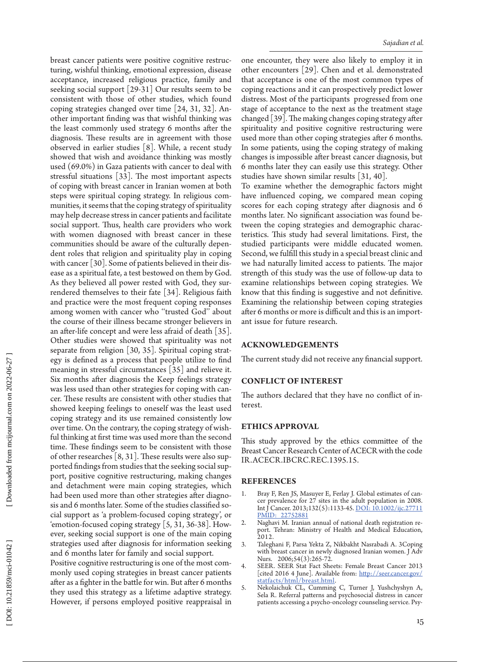breast cancer patients were positive cognitive restruc turing, wishful thinking, emotional expression, disease acceptance, increased religious practice, family and seeking social support [29-31] Our results seem to be consistent with those of other studies, which found coping strategies changed over time [24, 31, 32]. An other important finding was that wishful thinking was the least commonly used strategy 6 months after the diagnosis. These results are in agreement with those observed in earlier studies [8]. While, a recent study showed that wish and avoidance thinking was mostly used (69.0%) in Gaza patients with cancer to deal with stressful situations [33]. The most important aspects of coping with breast cancer in Iranian women at both steps were spiritual coping strategy. In religious com munities, it seems that the coping strategy of spirituality may help decrease stress in cancer patients and facilitate social support. Thus, health care providers who work with women diagnosed with breast cancer in these communities should be aware of the culturally depen dent roles that religion and spirituality play in coping with cancer [30]. Some of patients believed in their dis ease as a spiritual fate, a test bestowed on them by God. As they believed all power rested with God, they sur rendered themselves to their fate [34]. Religious faith and practice were the most frequent coping responses among women with cancer who "trusted God" about the course of their illness became stronger believers in an after-life concept and were less afraid of death [35]. Other studies were showed that spirituality was not separate from religion [30, 35]. Spiritual coping strat egy is defined as a process that people utilize to find meaning in stressful circumstances [35] and relieve it. Six months after diagnosis the Keep feelings strategy was less used than other strategies for coping with can cer. These results are consistent with other studies that showed keeping feelings to oneself was the least used coping strategy and its use remained consistently low over time. On the contrary, the coping strategy of wish ful thinking at first time was used more than the second time. These findings seem to be consistent with those of other researches [8, 31]. These results were also sup ported findings from studies that the seeking social sup port, positive cognitive restructuring, making changes and detachment were main coping strategies, which had been used more than other strategies after diagno sis and 6 months later. Some of the studies classified so cial support as 'a problem-focused coping strategy', or 'emotion-focused coping strategy [5, 31, 36-38]. How ever, seeking social support is one of the main coping strategies used after diagnosis for information seeking and 6 months later for family and social support. Positive cognitive restructuring is one of the most com monly used coping strategies in breast cancer patients

after as a fighter in the battle for win. But after 6 months they used this strategy as a lifetime adaptive strategy. However, if persons employed positive reappraisal in

one encounter, they were also likely to employ it in other encounters [29]. Chen and et al. demonstrated that acceptance is one of the most common types of coping reactions and it can prospectively predict lower distress. Most of the participants progressed from one stage of acceptance to the next as the treatment stage changed [39]. The making changes coping strategy after spirituality and positive cognitive restructuring were used more than other coping strategies after 6 months. In some patients, using the coping strategy of making changes is impossible after breast cancer diagnosis, but 6 months later they can easily use this strategy. Other studies have shown similar results [31, 40].

To examine whether the demographic factors might have influenced coping, we compared mean coping scores for each coping strategy after diagnosis and 6 months later. No significant association was found be tween the coping strategies and demographic charac teristics. This study had several limitations. First, the studied participants were middle educated women. Second, we fulfill this study in a special breast clinic and we had naturally limited access to patients. The major strength of this study was the use of follow-up data to examine relationships between coping strategies. We know that this finding is suggestive and not definitive. Examining the relationship between coping strategies after 6 months or more is difficult and this is an import ant issue for future research.

## **Acknowledgements**

The current study did not receive any financial support.

# **Conflict of Interest**

The authors declared that they have no conflict of in terest.

# **Ethics Approval**

This study approved by the ethics committee of the Breast Cancer Research Center of ACECR with the code IR.ACECR.IBCRC.REC.1395.15.

## **References**

- 1. Bray F, Ren JS, Masuyer E, Ferlay J. Global estimates of can cer prevalence for 27 sites in the adult population in 2008. Int J Cancer. 2013;132(5):1133-45. [DOI: 10.1002/ijc.27711](http://dx.doi.org/10.1002/ijc.27711) [PMID: 22752881](file:///D:/Owjj/Owj/Journals/MCI/1\(4\)/Style%20edit/www.ncbi.nlm.nih.gov/pubmed/22752881)
- 2. Naghavi M. Iranian annual of national death registration re port. Tehran: Ministry of Health and Medical Education, 2012.
- 3. Taleghani F, Parsa Yekta Z, Nikbakht Nasrabadi A. 3Coping with breast cancer in newly diagnosed Iranian women. J Adv Nurs. 2006;54(3):265-72.
- 4. SEER. SEER Stat Fact Sheets: Female Breast Cancer 2013 [cited 2016 4 June]. Available from: [http://seer.cancer.gov/](http://seer.cancer.gov/statfacts/html/breast.html) [statfacts/html/breast.html](http://seer.cancer.gov/statfacts/html/breast.html) .
- 5. Nekolaichuk CL, Cumming C, Turner J, Yushchyshyn A, Sela R. Referral patterns and psychosocial distress in cancer patients accessing a psycho-oncology counseling service. Psy -